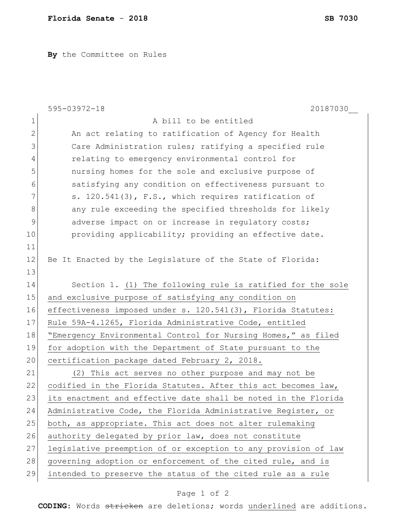**By** the Committee on Rules

|                | 595-03972-18<br>20187030                                       |
|----------------|----------------------------------------------------------------|
| $\mathbf 1$    | A bill to be entitled                                          |
| $\overline{2}$ | An act relating to ratification of Agency for Health           |
| 3              | Care Administration rules; ratifying a specified rule          |
| 4              | relating to emergency environmental control for                |
| 5              | nursing homes for the sole and exclusive purpose of            |
| 6              | satisfying any condition on effectiveness pursuant to          |
| 7              | s. 120.541(3), F.S., which requires ratification of            |
| 8              | any rule exceeding the specified thresholds for likely         |
| $\mathsf 9$    | adverse impact on or increase in regulatory costs;             |
| 10             | providing applicability; providing an effective date.          |
| 11             |                                                                |
| 12             | Be It Enacted by the Legislature of the State of Florida:      |
| 13             |                                                                |
| 14             | Section 1. (1) The following rule is ratified for the sole     |
| 15             | and exclusive purpose of satisfying any condition on           |
| 16             | effectiveness imposed under s. 120.541(3), Florida Statutes:   |
| 17             | Rule 59A-4.1265, Florida Administrative Code, entitled         |
| 18             | "Emergency Environmental Control for Nursing Homes," as filed  |
| 19             | for adoption with the Department of State pursuant to the      |
| 20             | certification package dated February 2, 2018.                  |
| 21             | (2) This act serves no other purpose and may not be            |
| 22             | codified in the Florida Statutes. After this act becomes law,  |
| 23             | its enactment and effective date shall be noted in the Florida |
| 24             | Administrative Code, the Florida Administrative Register, or   |
| 25             | both, as appropriate. This act does not alter rulemaking       |
| 26             | authority delegated by prior law, does not constitute          |
| 27             | legislative preemption of or exception to any provision of law |
| 28             | governing adoption or enforcement of the cited rule, and is    |
| 29             | intended to preserve the status of the cited rule as a rule    |

## Page 1 of 2

**CODING**: Words stricken are deletions; words underlined are additions.